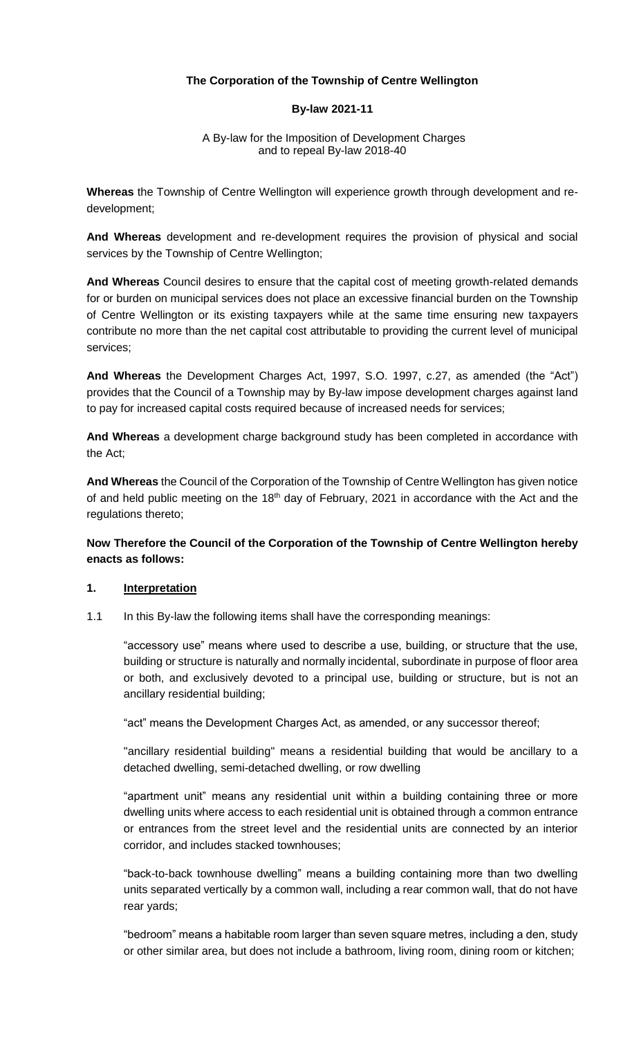## **The Corporation of the Township of Centre Wellington**

#### **By-law 2021-11**

#### A By-law for the Imposition of Development Charges and to repeal By-law 2018-40

**Whereas** the Township of Centre Wellington will experience growth through development and redevelopment;

**And Whereas** development and re-development requires the provision of physical and social services by the Township of Centre Wellington;

**And Whereas** Council desires to ensure that the capital cost of meeting growth-related demands for or burden on municipal services does not place an excessive financial burden on the Township of Centre Wellington or its existing taxpayers while at the same time ensuring new taxpayers contribute no more than the net capital cost attributable to providing the current level of municipal services;

**And Whereas** the Development Charges Act, 1997, S.O. 1997, c.27, as amended (the "Act") provides that the Council of a Township may by By-law impose development charges against land to pay for increased capital costs required because of increased needs for services;

**And Whereas** a development charge background study has been completed in accordance with the Act;

**And Whereas** the Council of the Corporation of the Township of Centre Wellington has given notice of and held public meeting on the 18<sup>th</sup> day of February, 2021 in accordance with the Act and the regulations thereto;

# **Now Therefore the Council of the Corporation of the Township of Centre Wellington hereby enacts as follows:**

#### **1. Interpretation**

1.1 In this By-law the following items shall have the corresponding meanings:

"accessory use" means where used to describe a use, building, or structure that the use, building or structure is naturally and normally incidental, subordinate in purpose of floor area or both, and exclusively devoted to a principal use, building or structure, but is not an ancillary residential building;

"act" means the Development Charges Act, as amended, or any successor thereof;

"ancillary residential building" means a residential building that would be ancillary to a detached dwelling, semi-detached dwelling, or row dwelling

"apartment unit" means any residential unit within a building containing three or more dwelling units where access to each residential unit is obtained through a common entrance or entrances from the street level and the residential units are connected by an interior corridor, and includes stacked townhouses;

"back-to-back townhouse dwelling" means a building containing more than two dwelling units separated vertically by a common wall, including a rear common wall, that do not have rear yards;

"bedroom" means a habitable room larger than seven square metres, including a den, study or other similar area, but does not include a bathroom, living room, dining room or kitchen;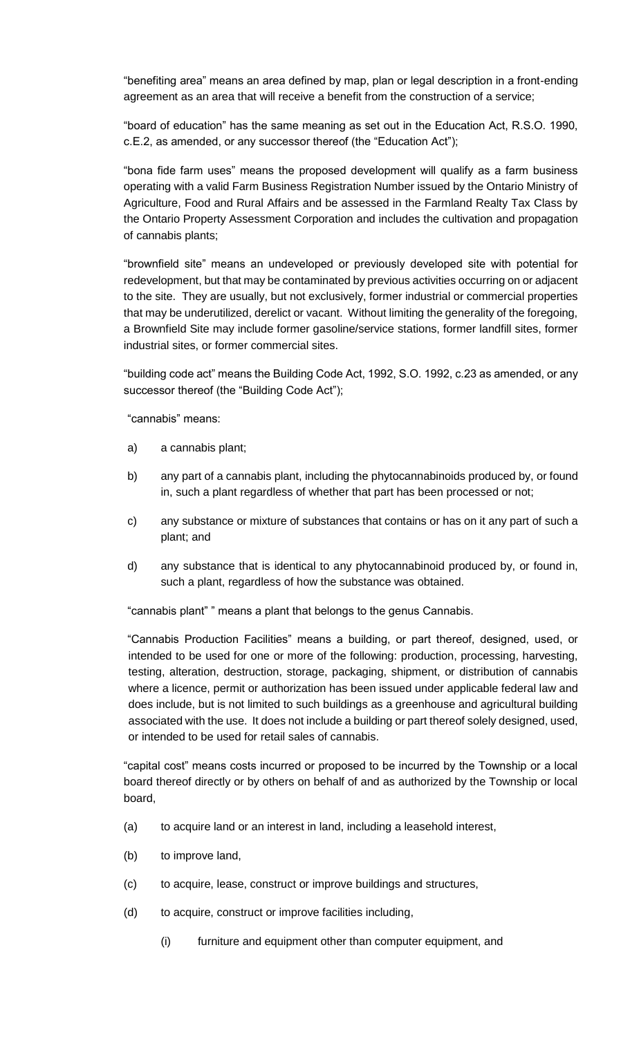"benefiting area" means an area defined by map, plan or legal description in a front-ending agreement as an area that will receive a benefit from the construction of a service;

"board of education" has the same meaning as set out in the Education Act, R.S.O. 1990, c.E.2, as amended, or any successor thereof (the "Education Act");

"bona fide farm uses" means the proposed development will qualify as a farm business operating with a valid Farm Business Registration Number issued by the Ontario Ministry of Agriculture, Food and Rural Affairs and be assessed in the Farmland Realty Tax Class by the Ontario Property Assessment Corporation and includes the cultivation and propagation of cannabis plants;

"brownfield site" means an undeveloped or previously developed site with potential for redevelopment, but that may be contaminated by previous activities occurring on or adjacent to the site. They are usually, but not exclusively, former industrial or commercial properties that may be underutilized, derelict or vacant. Without limiting the generality of the foregoing, a Brownfield Site may include former gasoline/service stations, former landfill sites, former industrial sites, or former commercial sites.

"building code act" means the Building Code Act, 1992, S.O. 1992, c.23 as amended, or any successor thereof (the "Building Code Act");

"cannabis" means:

- a) a cannabis plant;
- b) any part of a cannabis plant, including the phytocannabinoids produced by, or found in, such a plant regardless of whether that part has been processed or not;
- c) any substance or mixture of substances that contains or has on it any part of such a plant; and
- d) any substance that is identical to any phytocannabinoid produced by, or found in, such a plant, regardless of how the substance was obtained.

"cannabis plant" " means a plant that belongs to the genus Cannabis.

"Cannabis Production Facilities" means a building, or part thereof, designed, used, or intended to be used for one or more of the following: production, processing, harvesting, testing, alteration, destruction, storage, packaging, shipment, or distribution of cannabis where a licence, permit or authorization has been issued under applicable federal law and does include, but is not limited to such buildings as a greenhouse and agricultural building associated with the use. It does not include a building or part thereof solely designed, used, or intended to be used for retail sales of cannabis.

"capital cost" means costs incurred or proposed to be incurred by the Township or a local board thereof directly or by others on behalf of and as authorized by the Township or local board,

- (a) to acquire land or an interest in land, including a leasehold interest,
- (b) to improve land,
- (c) to acquire, lease, construct or improve buildings and structures,
- (d) to acquire, construct or improve facilities including,
	- (i) furniture and equipment other than computer equipment, and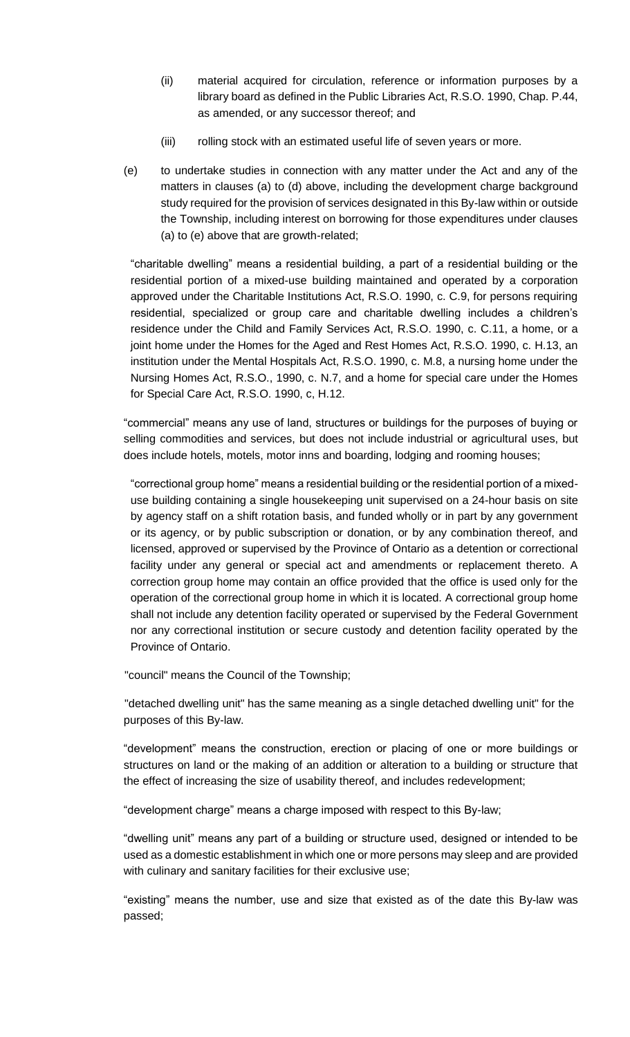- (ii) material acquired for circulation, reference or information purposes by a library board as defined in the Public Libraries Act, R.S.O. 1990, Chap. P.44, as amended, or any successor thereof; and
- (iii) rolling stock with an estimated useful life of seven years or more.
- (e) to undertake studies in connection with any matter under the Act and any of the matters in clauses (a) to (d) above, including the development charge background study required for the provision of services designated in this By-law within or outside the Township, including interest on borrowing for those expenditures under clauses (a) to (e) above that are growth-related;

"charitable dwelling" means a residential building, a part of a residential building or the residential portion of a mixed-use building maintained and operated by a corporation approved under the Charitable Institutions Act, R.S.O. 1990, c. C.9, for persons requiring residential, specialized or group care and charitable dwelling includes a children's residence under the Child and Family Services Act, R.S.O. 1990, c. C.11, a home, or a joint home under the Homes for the Aged and Rest Homes Act, R.S.O. 1990, c. H.13, an institution under the Mental Hospitals Act, R.S.O. 1990, c. M.8, a nursing home under the Nursing Homes Act, R.S.O., 1990, c. N.7, and a home for special care under the Homes for Special Care Act, R.S.O. 1990, c, H.12.

"commercial" means any use of land, structures or buildings for the purposes of buying or selling commodities and services, but does not include industrial or agricultural uses, but does include hotels, motels, motor inns and boarding, lodging and rooming houses;

"correctional group home" means a residential building or the residential portion of a mixeduse building containing a single housekeeping unit supervised on a 24-hour basis on site by agency staff on a shift rotation basis, and funded wholly or in part by any government or its agency, or by public subscription or donation, or by any combination thereof, and licensed, approved or supervised by the Province of Ontario as a detention or correctional facility under any general or special act and amendments or replacement thereto. A correction group home may contain an office provided that the office is used only for the operation of the correctional group home in which it is located. A correctional group home shall not include any detention facility operated or supervised by the Federal Government nor any correctional institution or secure custody and detention facility operated by the Province of Ontario.

"council" means the Council of the Township;

"detached dwelling unit" has the same meaning as a single detached dwelling unit" for the purposes of this By-law.

"development" means the construction, erection or placing of one or more buildings or structures on land or the making of an addition or alteration to a building or structure that the effect of increasing the size of usability thereof, and includes redevelopment;

"development charge" means a charge imposed with respect to this By-law;

"dwelling unit" means any part of a building or structure used, designed or intended to be used as a domestic establishment in which one or more persons may sleep and are provided with culinary and sanitary facilities for their exclusive use;

"existing" means the number, use and size that existed as of the date this By-law was passed;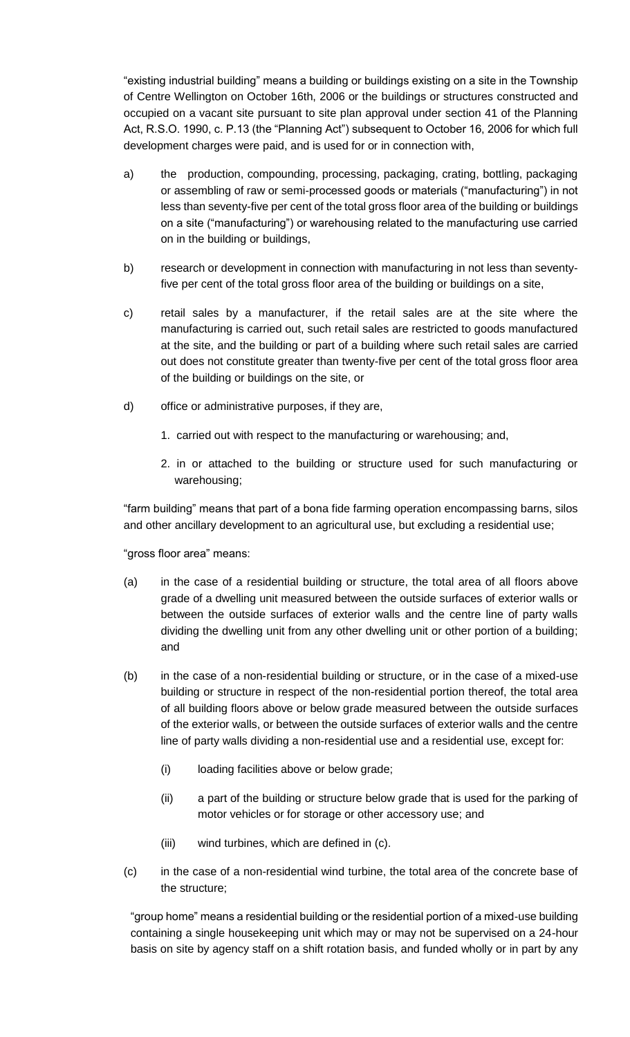"existing industrial building" means a building or buildings existing on a site in the Township of Centre Wellington on October 16th, 2006 or the buildings or structures constructed and occupied on a vacant site pursuant to site plan approval under section 41 of the Planning Act, R.S.O. 1990, c. P.13 (the "Planning Act") subsequent to October 16, 2006 for which full development charges were paid, and is used for or in connection with,

- a) the production, compounding, processing, packaging, crating, bottling, packaging or assembling of raw or semi-processed goods or materials ("manufacturing") in not less than seventy-five per cent of the total gross floor area of the building or buildings on a site ("manufacturing") or warehousing related to the manufacturing use carried on in the building or buildings,
- b) research or development in connection with manufacturing in not less than seventyfive per cent of the total gross floor area of the building or buildings on a site,
- c) retail sales by a manufacturer, if the retail sales are at the site where the manufacturing is carried out, such retail sales are restricted to goods manufactured at the site, and the building or part of a building where such retail sales are carried out does not constitute greater than twenty-five per cent of the total gross floor area of the building or buildings on the site, or
- d) office or administrative purposes, if they are,
	- 1. carried out with respect to the manufacturing or warehousing; and,
	- 2. in or attached to the building or structure used for such manufacturing or warehousing;

"farm building" means that part of a bona fide farming operation encompassing barns, silos and other ancillary development to an agricultural use, but excluding a residential use;

"gross floor area" means:

- (a) in the case of a residential building or structure, the total area of all floors above grade of a dwelling unit measured between the outside surfaces of exterior walls or between the outside surfaces of exterior walls and the centre line of party walls dividing the dwelling unit from any other dwelling unit or other portion of a building; and
- (b) in the case of a non-residential building or structure, or in the case of a mixed-use building or structure in respect of the non-residential portion thereof, the total area of all building floors above or below grade measured between the outside surfaces of the exterior walls, or between the outside surfaces of exterior walls and the centre line of party walls dividing a non-residential use and a residential use, except for:
	- (i) loading facilities above or below grade;
	- (ii) a part of the building or structure below grade that is used for the parking of motor vehicles or for storage or other accessory use; and
	- (iii) wind turbines, which are defined in (c).
- (c) in the case of a non-residential wind turbine, the total area of the concrete base of the structure;

"group home" means a residential building or the residential portion of a mixed-use building containing a single housekeeping unit which may or may not be supervised on a 24-hour basis on site by agency staff on a shift rotation basis, and funded wholly or in part by any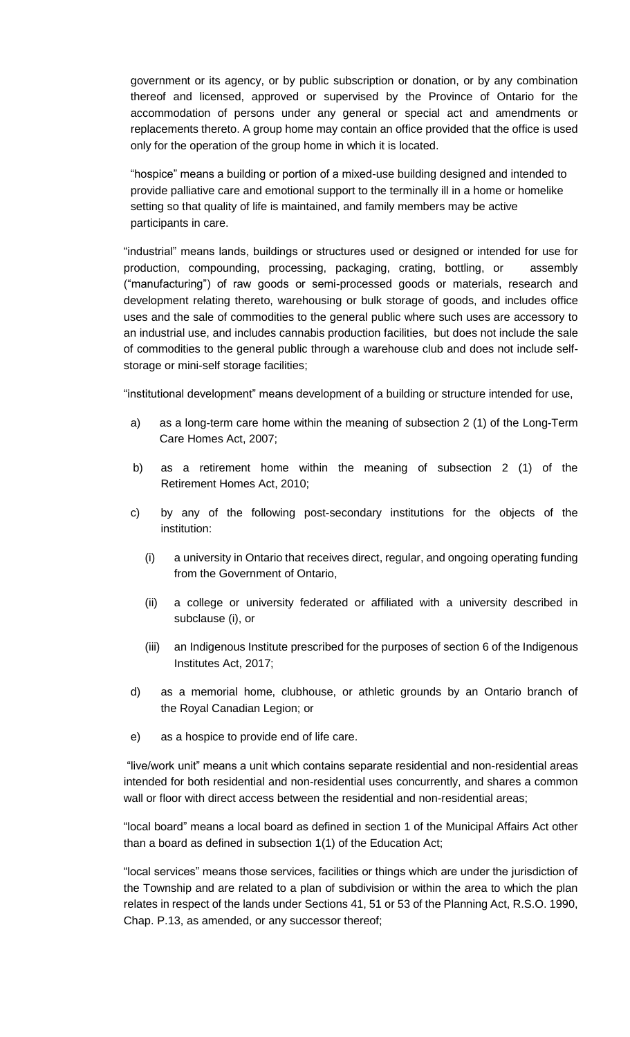government or its agency, or by public subscription or donation, or by any combination thereof and licensed, approved or supervised by the Province of Ontario for the accommodation of persons under any general or special act and amendments or replacements thereto. A group home may contain an office provided that the office is used only for the operation of the group home in which it is located.

"hospice" means a building or portion of a mixed-use building designed and intended to provide palliative care and emotional support to the terminally ill in a home or homelike setting so that quality of life is maintained, and family members may be active participants in care.

"industrial" means lands, buildings or structures used or designed or intended for use for production, compounding, processing, packaging, crating, bottling, or assembly ("manufacturing") of raw goods or semi-processed goods or materials, research and development relating thereto, warehousing or bulk storage of goods, and includes office uses and the sale of commodities to the general public where such uses are accessory to an industrial use, and includes cannabis production facilities, but does not include the sale of commodities to the general public through a warehouse club and does not include selfstorage or mini-self storage facilities;

"institutional development" means development of a building or structure intended for use,

- a) as a long-term care home within the meaning of subsection 2 (1) of the Long-Term Care Homes Act, 2007;
- b) as a retirement home within the meaning of subsection 2 (1) of the Retirement Homes Act, 2010;
- c) by any of the following post-secondary institutions for the objects of the institution:
	- (i) a university in Ontario that receives direct, regular, and ongoing operating funding from the Government of Ontario,
	- (ii) a college or university federated or affiliated with a university described in subclause (i), or
	- (iii) an Indigenous Institute prescribed for the purposes of section 6 of the Indigenous Institutes Act, 2017;
- d) as a memorial home, clubhouse, or athletic grounds by an Ontario branch of the Royal Canadian Legion; or
- e) as a hospice to provide end of life care.

"live/work unit" means a unit which contains separate residential and non-residential areas intended for both residential and non-residential uses concurrently, and shares a common wall or floor with direct access between the residential and non-residential areas;

"local board" means a local board as defined in section 1 of the Municipal Affairs Act other than a board as defined in subsection 1(1) of the Education Act;

"local services" means those services, facilities or things which are under the jurisdiction of the Township and are related to a plan of subdivision or within the area to which the plan relates in respect of the lands under Sections 41, 51 or 53 of the Planning Act, R.S.O. 1990, Chap. P.13, as amended, or any successor thereof;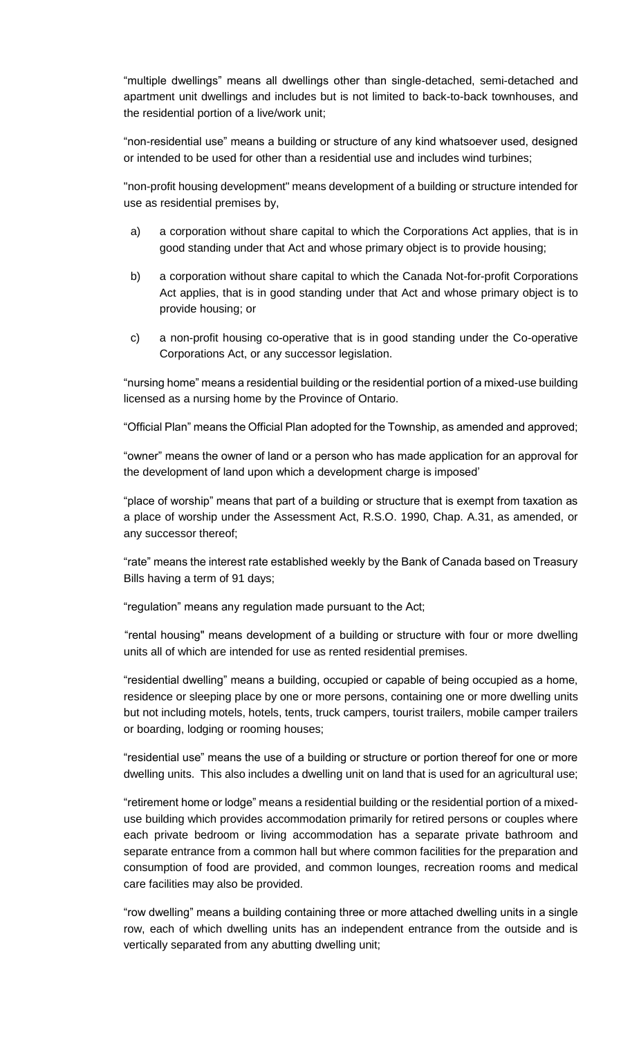"multiple dwellings" means all dwellings other than single-detached, semi-detached and apartment unit dwellings and includes but is not limited to back-to-back townhouses, and the residential portion of a live/work unit;

"non-residential use" means a building or structure of any kind whatsoever used, designed or intended to be used for other than a residential use and includes wind turbines;

"non-profit housing development" means development of a building or structure intended for use as residential premises by,

- a) a corporation without share capital to which the Corporations Act applies, that is in good standing under that Act and whose primary object is to provide housing;
- b) a corporation without share capital to which the Canada Not-for-profit Corporations Act applies, that is in good standing under that Act and whose primary object is to provide housing; or
- c) a non-profit housing co-operative that is in good standing under the Co-operative Corporations Act, or any successor legislation.

"nursing home" means a residential building or the residential portion of a mixed-use building licensed as a nursing home by the Province of Ontario.

"Official Plan" means the Official Plan adopted for the Township, as amended and approved;

"owner" means the owner of land or a person who has made application for an approval for the development of land upon which a development charge is imposed'

"place of worship" means that part of a building or structure that is exempt from taxation as a place of worship under the Assessment Act, R.S.O. 1990, Chap. A.31, as amended, or any successor thereof;

"rate" means the interest rate established weekly by the Bank of Canada based on Treasury Bills having a term of 91 days;

"regulation" means any regulation made pursuant to the Act;

"rental housing" means development of a building or structure with four or more dwelling units all of which are intended for use as rented residential premises.

"residential dwelling" means a building, occupied or capable of being occupied as a home, residence or sleeping place by one or more persons, containing one or more dwelling units but not including motels, hotels, tents, truck campers, tourist trailers, mobile camper trailers or boarding, lodging or rooming houses;

"residential use" means the use of a building or structure or portion thereof for one or more dwelling units. This also includes a dwelling unit on land that is used for an agricultural use;

"retirement home or lodge" means a residential building or the residential portion of a mixeduse building which provides accommodation primarily for retired persons or couples where each private bedroom or living accommodation has a separate private bathroom and separate entrance from a common hall but where common facilities for the preparation and consumption of food are provided, and common lounges, recreation rooms and medical care facilities may also be provided.

"row dwelling" means a building containing three or more attached dwelling units in a single row, each of which dwelling units has an independent entrance from the outside and is vertically separated from any abutting dwelling unit;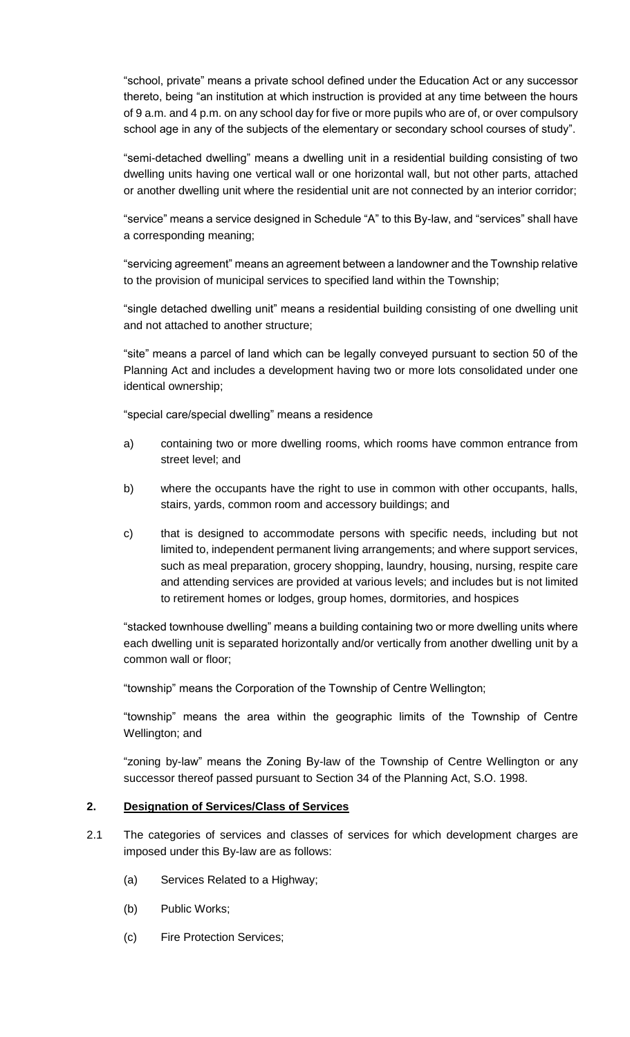"school, private" means a private school defined under the Education Act or any successor thereto, being "an institution at which instruction is provided at any time between the hours of 9 a.m. and 4 p.m. on any school day for five or more pupils who are of, or over compulsory school age in any of the subjects of the elementary or secondary school courses of study".

"semi-detached dwelling" means a dwelling unit in a residential building consisting of two dwelling units having one vertical wall or one horizontal wall, but not other parts, attached or another dwelling unit where the residential unit are not connected by an interior corridor;

"service" means a service designed in Schedule "A" to this By-law, and "services" shall have a corresponding meaning;

"servicing agreement" means an agreement between a landowner and the Township relative to the provision of municipal services to specified land within the Township;

"single detached dwelling unit" means a residential building consisting of one dwelling unit and not attached to another structure;

"site" means a parcel of land which can be legally conveyed pursuant to section 50 of the Planning Act and includes a development having two or more lots consolidated under one identical ownership;

"special care/special dwelling" means a residence

- a) containing two or more dwelling rooms, which rooms have common entrance from street level; and
- b) where the occupants have the right to use in common with other occupants, halls, stairs, yards, common room and accessory buildings; and
- c) that is designed to accommodate persons with specific needs, including but not limited to, independent permanent living arrangements; and where support services, such as meal preparation, grocery shopping, laundry, housing, nursing, respite care and attending services are provided at various levels; and includes but is not limited to retirement homes or lodges, group homes, dormitories, and hospices

"stacked townhouse dwelling" means a building containing two or more dwelling units where each dwelling unit is separated horizontally and/or vertically from another dwelling unit by a common wall or floor;

"township" means the Corporation of the Township of Centre Wellington;

"township" means the area within the geographic limits of the Township of Centre Wellington; and

"zoning by-law" means the Zoning By-law of the Township of Centre Wellington or any successor thereof passed pursuant to Section 34 of the Planning Act, S.O. 1998.

#### **2. Designation of Services/Class of Services**

- 2.1 The categories of services and classes of services for which development charges are imposed under this By-law are as follows:
	- (a) Services Related to a Highway;
	- (b) Public Works;
	- (c) Fire Protection Services;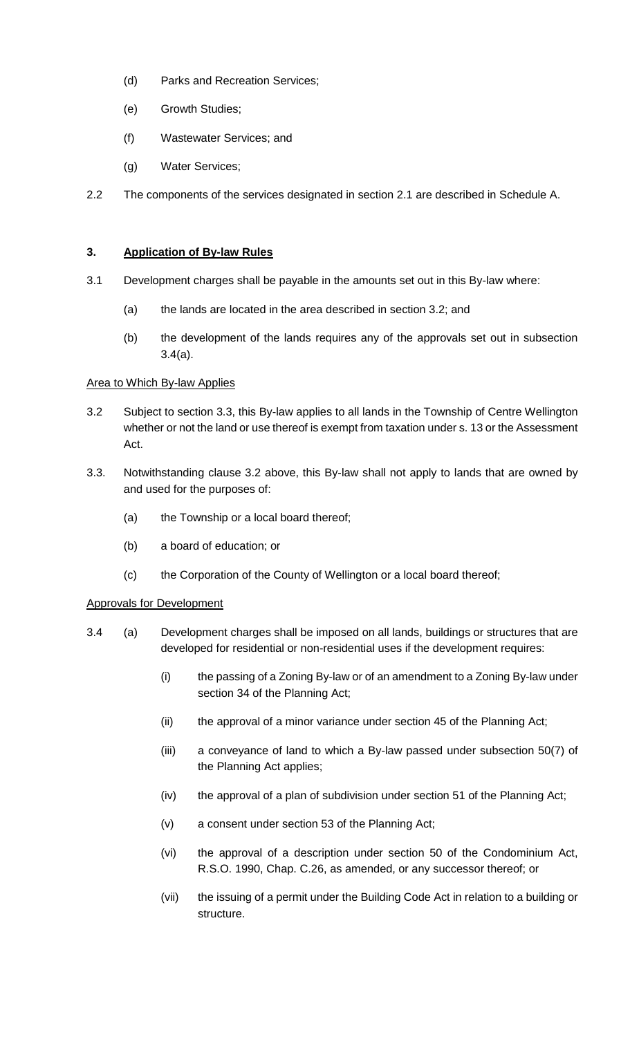- (d) Parks and Recreation Services;
- (e) Growth Studies;
- (f) Wastewater Services; and
- (g) Water Services;
- 2.2 The components of the services designated in section 2.1 are described in Schedule A.

#### **3. Application of By-law Rules**

- 3.1 Development charges shall be payable in the amounts set out in this By-law where:
	- (a) the lands are located in the area described in section 3.2; and
	- (b) the development of the lands requires any of the approvals set out in subsection 3.4(a).

#### Area to Which By-law Applies

- 3.2 Subject to section 3.3, this By-law applies to all lands in the Township of Centre Wellington whether or not the land or use thereof is exempt from taxation under s. 13 or the Assessment Act.
- 3.3. Notwithstanding clause 3.2 above, this By-law shall not apply to lands that are owned by and used for the purposes of:
	- (a) the Township or a local board thereof;
	- (b) a board of education; or
	- (c) the Corporation of the County of Wellington or a local board thereof;

#### Approvals for Development

- 3.4 (a) Development charges shall be imposed on all lands, buildings or structures that are developed for residential or non-residential uses if the development requires:
	- (i) the passing of a Zoning By-law or of an amendment to a Zoning By-law under section 34 of the Planning Act;
	- (ii) the approval of a minor variance under section 45 of the Planning Act;
	- (iii) a conveyance of land to which a By-law passed under subsection 50(7) of the Planning Act applies;
	- (iv) the approval of a plan of subdivision under section 51 of the Planning Act;
	- (v) a consent under section 53 of the Planning Act;
	- (vi) the approval of a description under section 50 of the Condominium Act, R.S.O. 1990, Chap. C.26, as amended, or any successor thereof; or
	- (vii) the issuing of a permit under the Building Code Act in relation to a building or structure.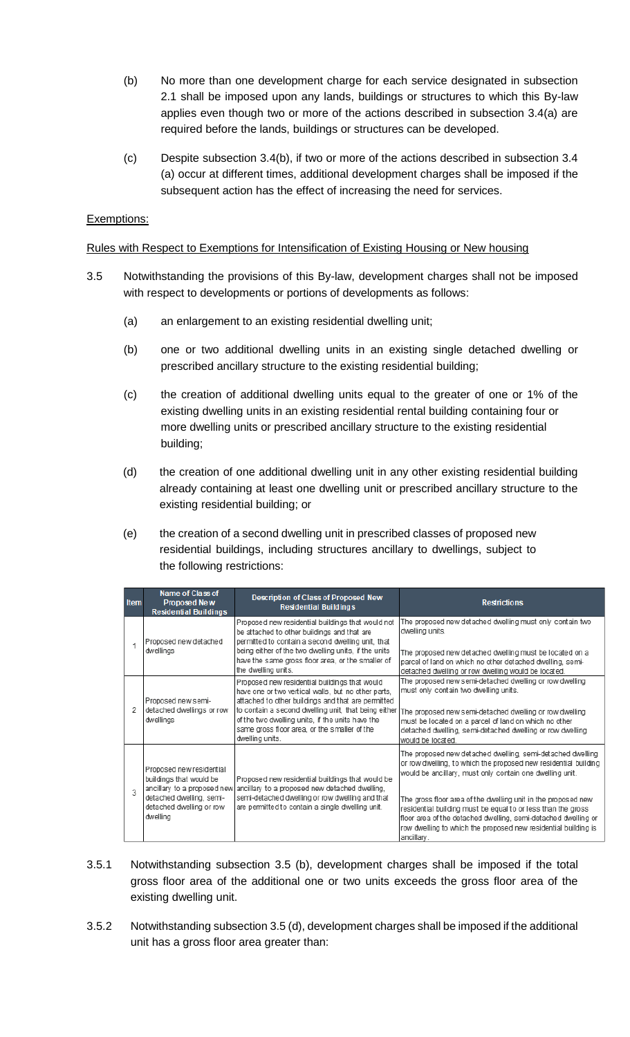- (b) No more than one development charge for each service designated in subsection 2.1 shall be imposed upon any lands, buildings or structures to which this By-law applies even though two or more of the actions described in subsection 3.4(a) are required before the lands, buildings or structures can be developed.
- (c) Despite subsection 3.4(b), if two or more of the actions described in subsection 3.4 (a) occur at different times, additional development charges shall be imposed if the subsequent action has the effect of increasing the need for services.

#### Exemptions:

#### Rules with Respect to Exemptions for Intensification of Existing Housing or New housing

- 3.5 Notwithstanding the provisions of this By-law, development charges shall not be imposed with respect to developments or portions of developments as follows:
	- (a) an enlargement to an existing residential dwelling unit;
	- (b) one or two additional dwelling units in an existing single detached dwelling or prescribed ancillary structure to the existing residential building;
	- (c) the creation of additional dwelling units equal to the greater of one or 1% of the existing dwelling units in an existing residential rental building containing four or more dwelling units or prescribed ancillary structure to the existing residential building;
	- (d) the creation of one additional dwelling unit in any other existing residential building already containing at least one dwelling unit or prescribed ancillary structure to the existing residential building; or
	- (e) the creation of a second dwelling unit in prescribed classes of proposed new residential buildings, including structures ancillary to dwellings, subject to the following restrictions:

| <b>Item</b>    | Name of Class of<br><b>Proposed New</b><br><b>Residential Buildings</b>                                                                                | Description of Class of Proposed New<br><b>Residential Buildings</b>                                                                                                                                                                                                                                                                      | <b>Restrictions</b>                                                                                                                                                                                                                                                                                                                                                                                                                                                          |  |
|----------------|--------------------------------------------------------------------------------------------------------------------------------------------------------|-------------------------------------------------------------------------------------------------------------------------------------------------------------------------------------------------------------------------------------------------------------------------------------------------------------------------------------------|------------------------------------------------------------------------------------------------------------------------------------------------------------------------------------------------------------------------------------------------------------------------------------------------------------------------------------------------------------------------------------------------------------------------------------------------------------------------------|--|
|                | Proposed new detached<br>dwellings                                                                                                                     | Proposed new residential buildings that would not<br>be attached to other buildings and that are<br>permitted to contain a second dwelling unit, that<br>being either of the two dwelling units, if the units<br>have the same gross floor area, or the smaller of<br>the dwelling units.                                                 | The proposed new detached dwelling must only contain two<br>dwelling units.<br>The proposed new detached dwelling must be located on a<br>parcel of land on which no other detached dwelling, semi-<br>detached dwelling or row dwelling would be located.                                                                                                                                                                                                                   |  |
| $\mathfrak{D}$ | Proposed new semi-<br>detached dwellings or row<br>dwellings                                                                                           | Proposed new residential buildings that would<br>have one or two vertical walls, but no other parts,<br>attached to other buildings and that are permitted<br>to contain a second dwelling unit, that being either<br>of the two dwelling units, if the units have the<br>same gross floor area, or the smaller of the<br>dwelling units. | The proposed new semi-detached dwelling or row dwelling<br>must only contain two dwelling units.<br>The proposed new semi-detached dwelling or row dwelling<br>must be located on a parcel of land on which no other<br>detached dwelling, semi-detached dwelling or row dwelling<br>would be located.                                                                                                                                                                       |  |
| J.             | Proposed new residential<br>buildings that would be<br>ancillary to a proposed new<br>detached dwelling, semi-<br>detached dwelling or row<br>dwelling | Proposed new residential buildings that would be<br>ancillary to a proposed new detached dwelling,<br>semi-detached dwelling or row dwelling and that<br>are permitted to contain a single dwelling unit.                                                                                                                                 | The proposed new detached dwelling, semi-detached dwelling<br>or row dwelling, to which the proposed new residential building<br>would be ancillary, must only contain one dwelling unit.<br>The gross floor area of the dwelling unit in the proposed new<br>residential building must be equal to or less than the gross<br>floor area of the detached dwelling, semi-detached dwelling or<br>row dwelling to which the proposed new residential building is<br>ancillary. |  |

- 3.5.1 Notwithstanding subsection 3.5 (b), development charges shall be imposed if the total gross floor area of the additional one or two units exceeds the gross floor area of the existing dwelling unit.
- 3.5.2 Notwithstanding subsection 3.5 (d), development charges shall be imposed if the additional unit has a gross floor area greater than: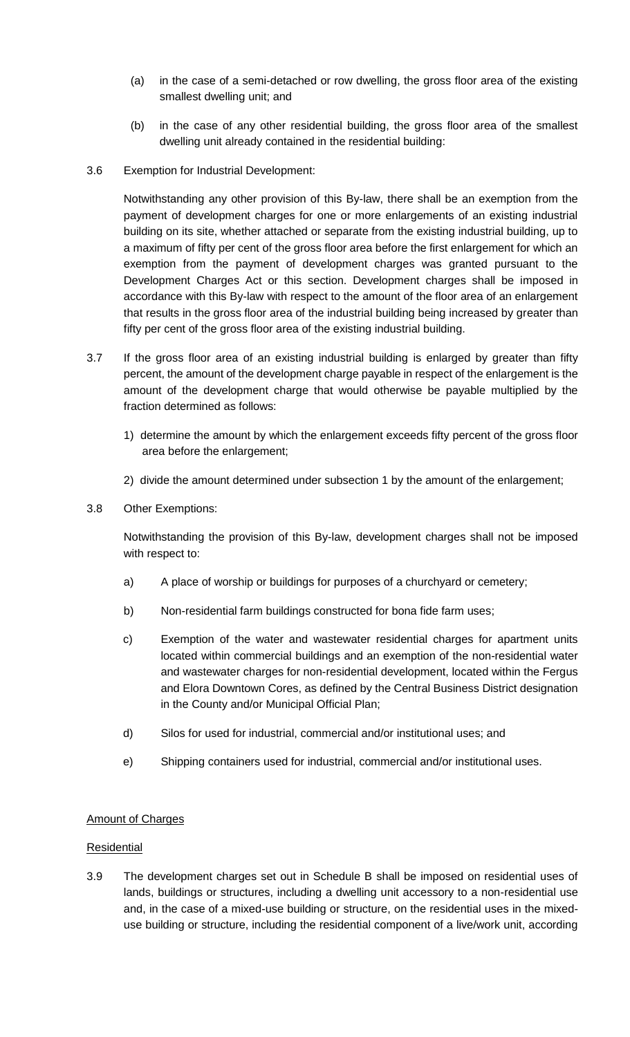- (a) in the case of a semi-detached or row dwelling, the gross floor area of the existing smallest dwelling unit; and
- (b) in the case of any other residential building, the gross floor area of the smallest dwelling unit already contained in the residential building:
- 3.6 Exemption for Industrial Development:

Notwithstanding any other provision of this By-law, there shall be an exemption from the payment of development charges for one or more enlargements of an existing industrial building on its site, whether attached or separate from the existing industrial building, up to a maximum of fifty per cent of the gross floor area before the first enlargement for which an exemption from the payment of development charges was granted pursuant to the Development Charges Act or this section. Development charges shall be imposed in accordance with this By-law with respect to the amount of the floor area of an enlargement that results in the gross floor area of the industrial building being increased by greater than fifty per cent of the gross floor area of the existing industrial building.

- 3.7 If the gross floor area of an existing industrial building is enlarged by greater than fifty percent, the amount of the development charge payable in respect of the enlargement is the amount of the development charge that would otherwise be payable multiplied by the fraction determined as follows:
	- 1) determine the amount by which the enlargement exceeds fifty percent of the gross floor area before the enlargement;
	- 2) divide the amount determined under subsection 1 by the amount of the enlargement;
- 3.8 Other Exemptions:

Notwithstanding the provision of this By-law, development charges shall not be imposed with respect to:

- a) A place of worship or buildings for purposes of a churchyard or cemetery;
- b) Non-residential farm buildings constructed for bona fide farm uses;
- c) Exemption of the water and wastewater residential charges for apartment units located within commercial buildings and an exemption of the non-residential water and wastewater charges for non-residential development, located within the Fergus and Elora Downtown Cores, as defined by the Central Business District designation in the County and/or Municipal Official Plan;
- d) Silos for used for industrial, commercial and/or institutional uses; and
- e) Shipping containers used for industrial, commercial and/or institutional uses.

#### Amount of Charges

#### Residential

3.9 The development charges set out in Schedule B shall be imposed on residential uses of lands, buildings or structures, including a dwelling unit accessory to a non-residential use and, in the case of a mixed-use building or structure, on the residential uses in the mixeduse building or structure, including the residential component of a live/work unit, according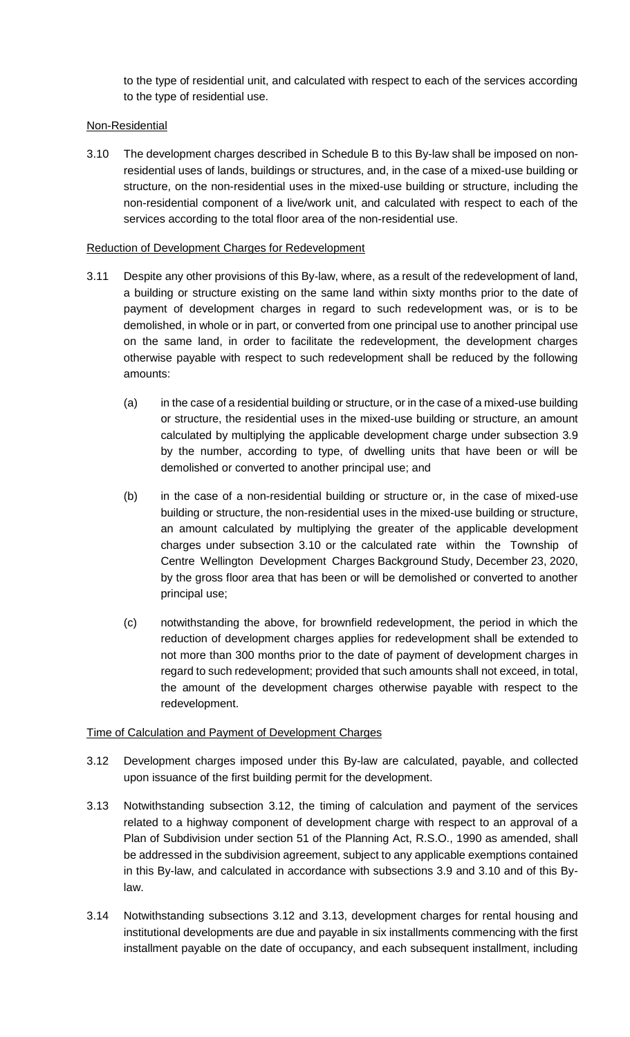to the type of residential unit, and calculated with respect to each of the services according to the type of residential use.

## Non-Residential

3.10 The development charges described in Schedule B to this By-law shall be imposed on nonresidential uses of lands, buildings or structures, and, in the case of a mixed-use building or structure, on the non-residential uses in the mixed-use building or structure, including the non-residential component of a live/work unit, and calculated with respect to each of the services according to the total floor area of the non-residential use.

#### Reduction of Development Charges for Redevelopment

- 3.11 Despite any other provisions of this By-law, where, as a result of the redevelopment of land, a building or structure existing on the same land within sixty months prior to the date of payment of development charges in regard to such redevelopment was, or is to be demolished, in whole or in part, or converted from one principal use to another principal use on the same land, in order to facilitate the redevelopment, the development charges otherwise payable with respect to such redevelopment shall be reduced by the following amounts:
	- (a) in the case of a residential building or structure, or in the case of a mixed-use building or structure, the residential uses in the mixed-use building or structure, an amount calculated by multiplying the applicable development charge under subsection 3.9 by the number, according to type, of dwelling units that have been or will be demolished or converted to another principal use; and
	- (b) in the case of a non-residential building or structure or, in the case of mixed-use building or structure, the non-residential uses in the mixed-use building or structure, an amount calculated by multiplying the greater of the applicable development charges under subsection 3.10 or the calculated rate within the Township of Centre Wellington Development Charges Background Study, December 23, 2020, by the gross floor area that has been or will be demolished or converted to another principal use;
	- (c) notwithstanding the above, for brownfield redevelopment, the period in which the reduction of development charges applies for redevelopment shall be extended to not more than 300 months prior to the date of payment of development charges in regard to such redevelopment; provided that such amounts shall not exceed, in total, the amount of the development charges otherwise payable with respect to the redevelopment.

# Time of Calculation and Payment of Development Charges

- 3.12 Development charges imposed under this By-law are calculated, payable, and collected upon issuance of the first building permit for the development.
- 3.13 Notwithstanding subsection 3.12, the timing of calculation and payment of the services related to a highway component of development charge with respect to an approval of a Plan of Subdivision under section 51 of the Planning Act, R.S.O., 1990 as amended, shall be addressed in the subdivision agreement, subject to any applicable exemptions contained in this By-law, and calculated in accordance with subsections 3.9 and 3.10 and of this Bylaw.
- 3.14 Notwithstanding subsections 3.12 and 3.13, development charges for rental housing and institutional developments are due and payable in six installments commencing with the first installment payable on the date of occupancy, and each subsequent installment, including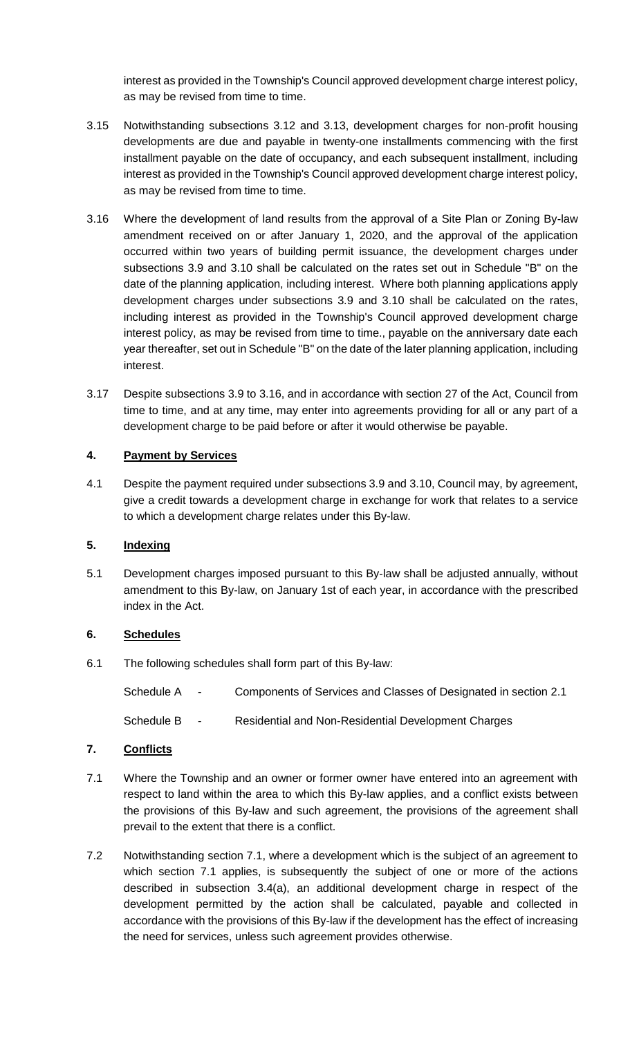interest as provided in the Township's Council approved development charge interest policy, as may be revised from time to time.

- 3.15 Notwithstanding subsections 3.12 and 3.13, development charges for non-profit housing developments are due and payable in twenty-one installments commencing with the first installment payable on the date of occupancy, and each subsequent installment, including interest as provided in the Township's Council approved development charge interest policy, as may be revised from time to time.
- 3.16 Where the development of land results from the approval of a Site Plan or Zoning By-law amendment received on or after January 1, 2020, and the approval of the application occurred within two years of building permit issuance, the development charges under subsections 3.9 and 3.10 shall be calculated on the rates set out in Schedule "B" on the date of the planning application, including interest. Where both planning applications apply development charges under subsections 3.9 and 3.10 shall be calculated on the rates, including interest as provided in the Township's Council approved development charge interest policy, as may be revised from time to time., payable on the anniversary date each year thereafter, set out in Schedule "B" on the date of the later planning application, including interest.
- 3.17 Despite subsections 3.9 to 3.16, and in accordance with section 27 of the Act, Council from time to time, and at any time, may enter into agreements providing for all or any part of a development charge to be paid before or after it would otherwise be payable.

#### **4. Payment by Services**

4.1 Despite the payment required under subsections 3.9 and 3.10, Council may, by agreement, give a credit towards a development charge in exchange for work that relates to a service to which a development charge relates under this By-law.

## **5. Indexing**

5.1 Development charges imposed pursuant to this By-law shall be adjusted annually, without amendment to this By-law, on January 1st of each year, in accordance with the prescribed index in the Act.

# **6. Schedules**

6.1 The following schedules shall form part of this By-law:

Schedule A - Components of Services and Classes of Designated in section 2.1

Schedule B - Residential and Non-Residential Development Charges

# **7. Conflicts**

- 7.1 Where the Township and an owner or former owner have entered into an agreement with respect to land within the area to which this By-law applies, and a conflict exists between the provisions of this By-law and such agreement, the provisions of the agreement shall prevail to the extent that there is a conflict.
- 7.2 Notwithstanding section 7.1, where a development which is the subject of an agreement to which section 7.1 applies, is subsequently the subject of one or more of the actions described in subsection 3.4(a), an additional development charge in respect of the development permitted by the action shall be calculated, payable and collected in accordance with the provisions of this By-law if the development has the effect of increasing the need for services, unless such agreement provides otherwise.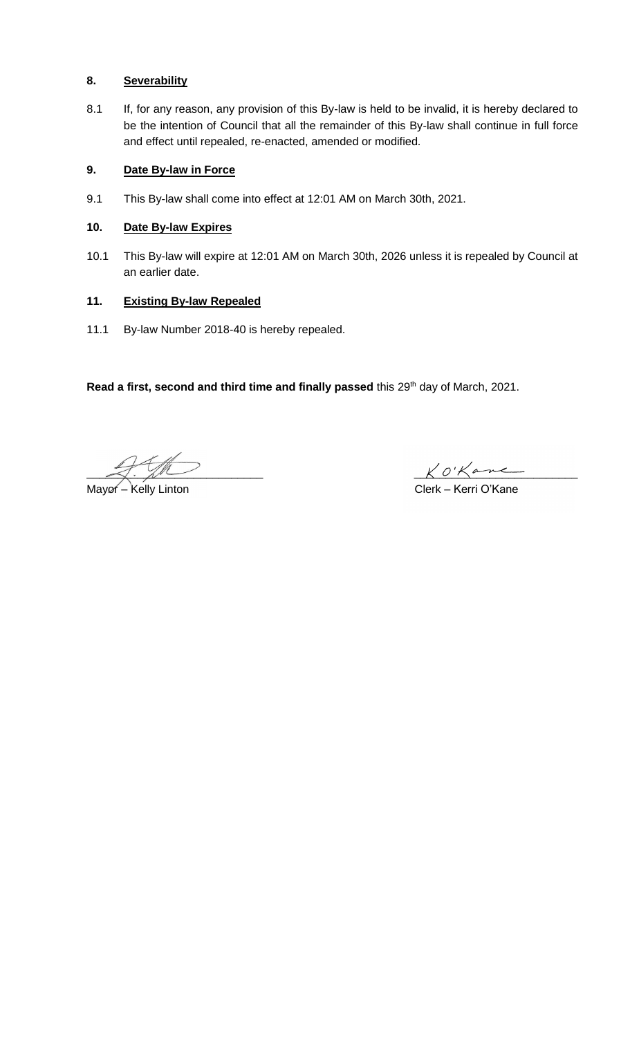## **8. Severability**

8.1 If, for any reason, any provision of this By-law is held to be invalid, it is hereby declared to be the intention of Council that all the remainder of this By-law shall continue in full force and effect until repealed, re-enacted, amended or modified.

## **9. Date By-law in Force**

9.1 This By-law shall come into effect at 12:01 AM on March 30th, 2021.

## **10. Date By-law Expires**

10.1 This By-law will expire at 12:01 AM on March 30th, 2026 unless it is repealed by Council at an earlier date.

## **11. Existing By-law Repealed**

11.1 By-law Number 2018-40 is hereby repealed.

Read a first, second and third time and finally passed this 29<sup>th</sup> day of March, 2021.

Mayor – Kelly Linton

and the set of the set of the set of the set of the set of the set of the set of the set of the set of the set o<br>Clerk – Kerri O'Kane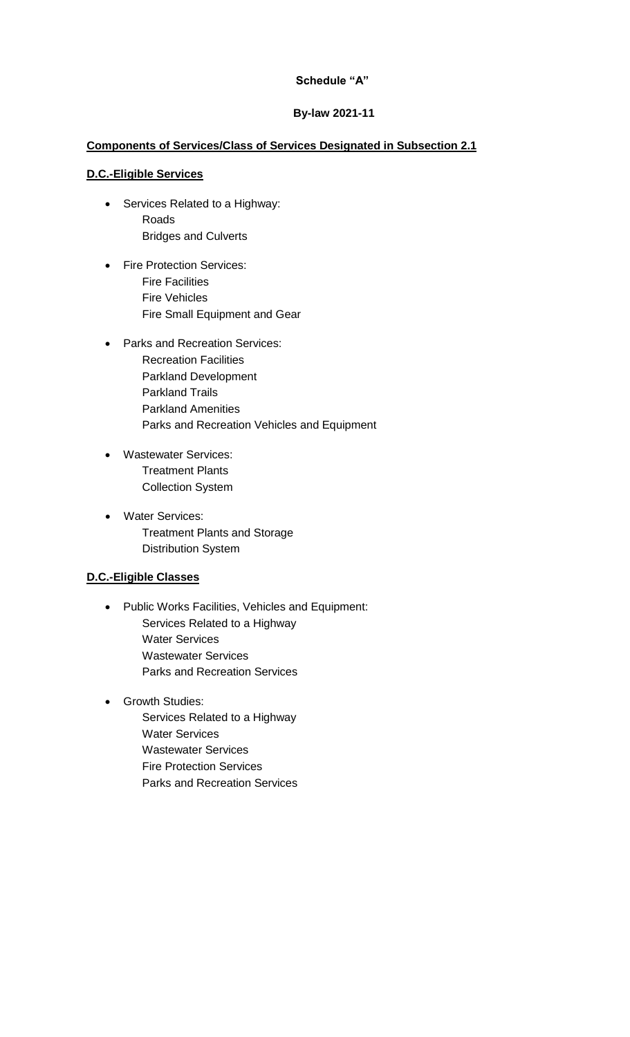## **Schedule "A"**

## **By-law 2021-11**

# **Components of Services/Class of Services Designated in Subsection 2.1**

#### **D.C.-Eligible Services**

- Services Related to a Highway: Roads Bridges and Culverts
- Fire Protection Services: Fire Facilities Fire Vehicles Fire Small Equipment and Gear
- Parks and Recreation Services: Recreation Facilities Parkland Development Parkland Trails Parkland Amenities Parks and Recreation Vehicles and Equipment
- Wastewater Services: Treatment Plants Collection System
- Water Services: Treatment Plants and Storage Distribution System

# **D.C.-Eligible Classes**

- Public Works Facilities, Vehicles and Equipment: Services Related to a Highway Water Services Wastewater Services Parks and Recreation Services
- Growth Studies: Services Related to a Highway Water Services Wastewater Services
	- Fire Protection Services Parks and Recreation Services